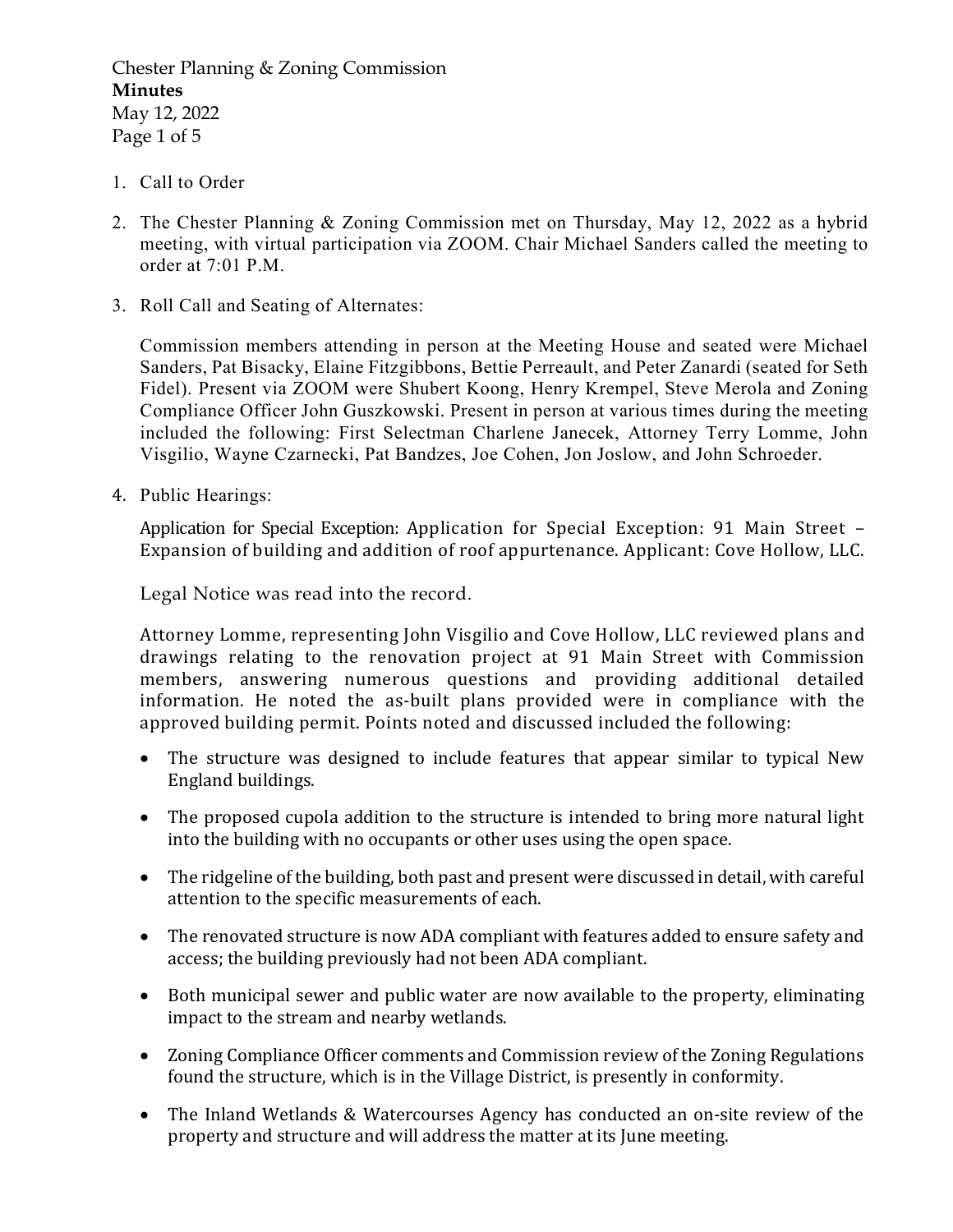Chester Planning & Zoning Commission Minutes May 12, 2022 Page 1 of 5

- 1. Call to Order
- 2. The Chester Planning & Zoning Commission met on Thursday, May 12, 2022 as a hybrid meeting, with virtual participation via ZOOM. Chair Michael Sanders called the meeting to order at 7:01 P.M.
- 3. Roll Call and Seating of Alternates:

Commission members attending in person at the Meeting House and seated were Michael Sanders, Pat Bisacky, Elaine Fitzgibbons, Bettie Perreault, and Peter Zanardi (seated for Seth Fidel). Present via ZOOM were Shubert Koong, Henry Krempel, Steve Merola and Zoning Compliance Officer John Guszkowski. Present in person at various times during the meeting included the following: First Selectman Charlene Janecek, Attorney Terry Lomme, John Visgilio, Wayne Czarnecki, Pat Bandzes, Joe Cohen, Jon Joslow, and John Schroeder.

4. Public Hearings:

 Application for Special Exception: Application for Special Exception: 91 Main Street – Expansion of building and addition of roof appurtenance. Applicant: Cove Hollow, LLC.

Legal Notice was read into the record.

 Attorney Lomme, representing John Visgilio and Cove Hollow, LLC reviewed plans and drawings relating to the renovation project at 91 Main Street with Commission members, answering numerous questions and providing additional detailed information. He noted the as-built plans provided were in compliance with the approved building permit. Points noted and discussed included the following:

- The structure was designed to include features that appear similar to typical New England buildings.
- The proposed cupola addition to the structure is intended to bring more natural light into the building with no occupants or other uses using the open space.
- The ridgeline of the building, both past and present were discussed in detail, with careful attention to the specific measurements of each.
- The renovated structure is now ADA compliant with features added to ensure safety and access; the building previously had not been ADA compliant.
- Both municipal sewer and public water are now available to the property, eliminating impact to the stream and nearby wetlands.
- Zoning Compliance Officer comments and Commission review of the Zoning Regulations found the structure, which is in the Village District, is presently in conformity.
- The Inland Wetlands & Watercourses Agency has conducted an on-site review of the property and structure and will address the matter at its June meeting.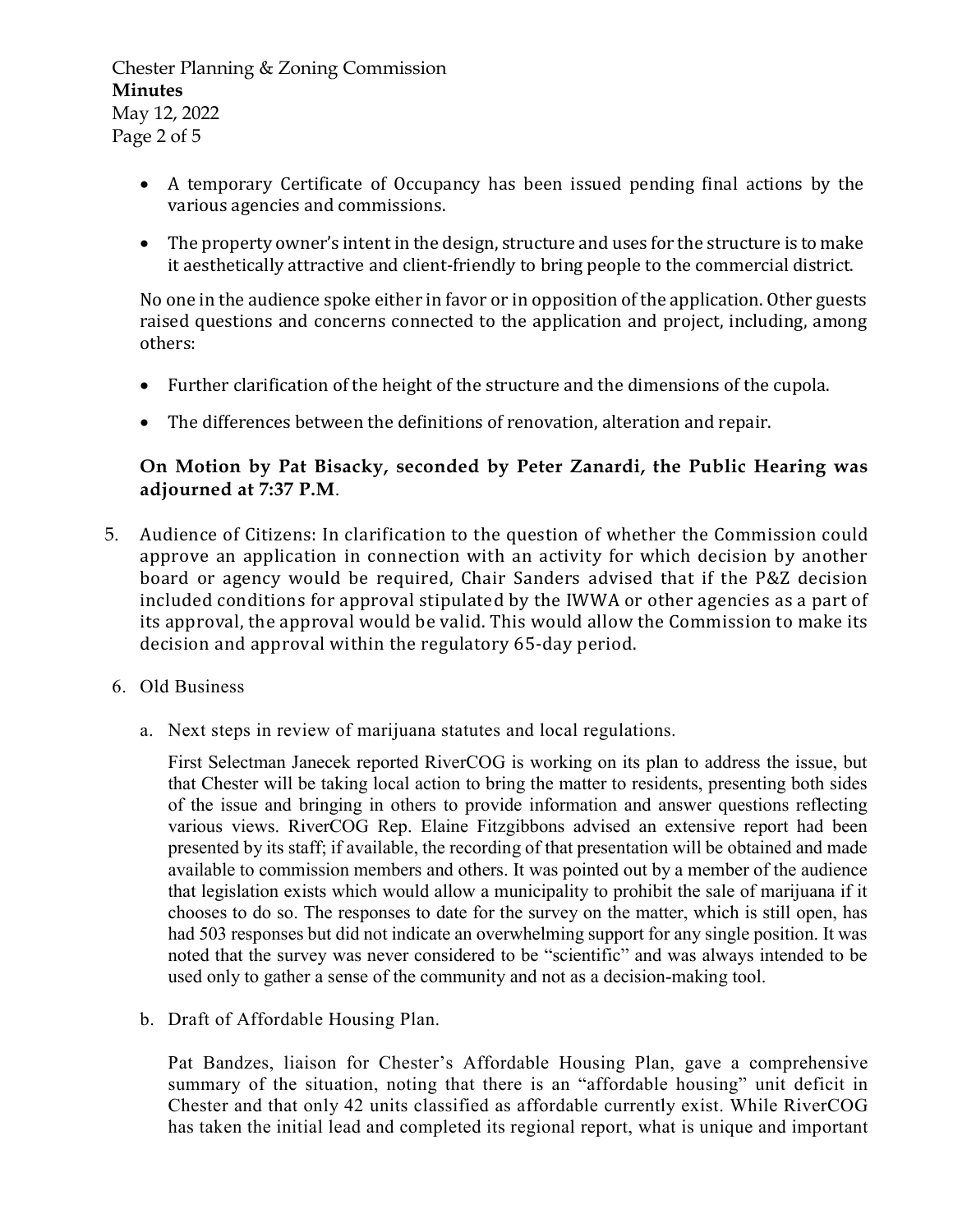Chester Planning & Zoning Commission Minutes May 12, 2022 Page 2 of 5

- A temporary Certificate of Occupancy has been issued pending final actions by the various agencies and commissions.
- The property owner's intent in the design, structure and uses for the structure is to make it aesthetically attractive and client-friendly to bring people to the commercial district.

 No one in the audience spoke either in favor or in opposition of the application. Other guests raised questions and concerns connected to the application and project, including, among others:

- Further clarification of the height of the structure and the dimensions of the cupola.
- The differences between the definitions of renovation, alteration and repair.

## On Motion by Pat Bisacky, seconded by Peter Zanardi, the Public Hearing was adjourned at 7:37 P.M.

- 5. Audience of Citizens: In clarification to the question of whether the Commission could approve an application in connection with an activity for which decision by another board or agency would be required, Chair Sanders advised that if the P&Z decision included conditions for approval stipulated by the IWWA or other agencies as a part of its approval, the approval would be valid. This would allow the Commission to make its decision and approval within the regulatory 65-day period.
- 6. Old Business
	- a. Next steps in review of marijuana statutes and local regulations.

 First Selectman Janecek reported RiverCOG is working on its plan to address the issue, but that Chester will be taking local action to bring the matter to residents, presenting both sides of the issue and bringing in others to provide information and answer questions reflecting various views. RiverCOG Rep. Elaine Fitzgibbons advised an extensive report had been presented by its staff; if available, the recording of that presentation will be obtained and made available to commission members and others. It was pointed out by a member of the audience that legislation exists which would allow a municipality to prohibit the sale of marijuana if it chooses to do so. The responses to date for the survey on the matter, which is still open, has had 503 responses but did not indicate an overwhelming support for any single position. It was noted that the survey was never considered to be "scientific" and was always intended to be used only to gather a sense of the community and not as a decision-making tool.

b. Draft of Affordable Housing Plan.

 Pat Bandzes, liaison for Chester's Affordable Housing Plan, gave a comprehensive summary of the situation, noting that there is an "affordable housing" unit deficit in Chester and that only 42 units classified as affordable currently exist. While RiverCOG has taken the initial lead and completed its regional report, what is unique and important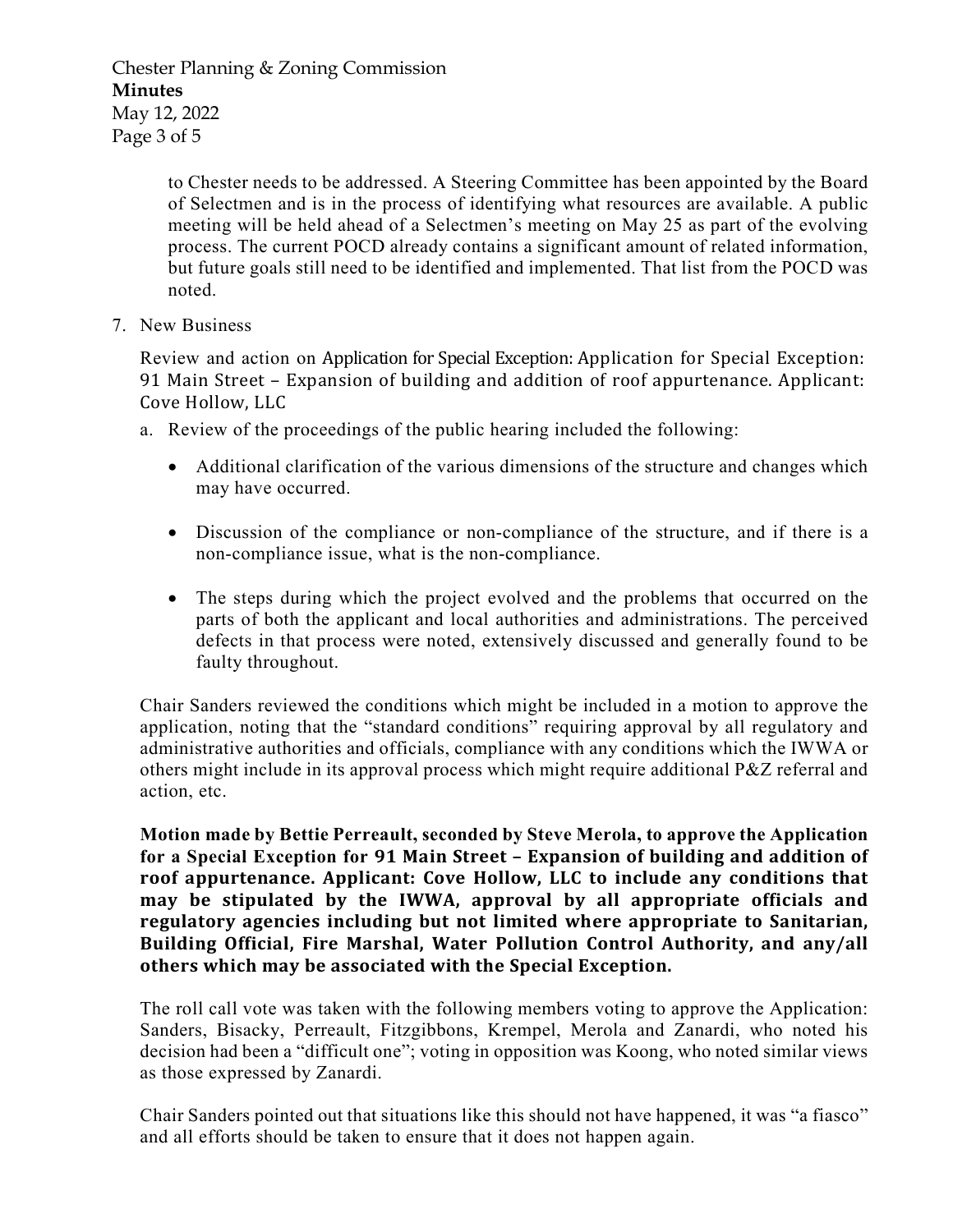Chester Planning & Zoning Commission Minutes May 12, 2022 Page 3 of 5

> to Chester needs to be addressed. A Steering Committee has been appointed by the Board of Selectmen and is in the process of identifying what resources are available. A public meeting will be held ahead of a Selectmen's meeting on May 25 as part of the evolving process. The current POCD already contains a significant amount of related information, but future goals still need to be identified and implemented. That list from the POCD was noted.

7. New Business

Review and action on Application for Special Exception: Application for Special Exception: 91 Main Street – Expansion of building and addition of roof appurtenance. Applicant: Cove Hollow, LLC

- a. Review of the proceedings of the public hearing included the following:
	- Additional clarification of the various dimensions of the structure and changes which may have occurred.
	- Discussion of the compliance or non-compliance of the structure, and if there is a non-compliance issue, what is the non-compliance.
	- The steps during which the project evolved and the problems that occurred on the parts of both the applicant and local authorities and administrations. The perceived defects in that process were noted, extensively discussed and generally found to be faulty throughout.

Chair Sanders reviewed the conditions which might be included in a motion to approve the application, noting that the "standard conditions" requiring approval by all regulatory and administrative authorities and officials, compliance with any conditions which the IWWA or others might include in its approval process which might require additional P&Z referral and action, etc.

Motion made by Bettie Perreault, seconded by Steve Merola, to approve the Application for a Special Exception for 91 Main Street – Expansion of building and addition of roof appurtenance. Applicant: Cove Hollow, LLC to include any conditions that may be stipulated by the IWWA, approval by all appropriate officials and regulatory agencies including but not limited where appropriate to Sanitarian, Building Official, Fire Marshal, Water Pollution Control Authority, and any/all others which may be associated with the Special Exception.

The roll call vote was taken with the following members voting to approve the Application: Sanders, Bisacky, Perreault, Fitzgibbons, Krempel, Merola and Zanardi, who noted his decision had been a "difficult one"; voting in opposition was Koong, who noted similar views as those expressed by Zanardi.

Chair Sanders pointed out that situations like this should not have happened, it was "a fiasco" and all efforts should be taken to ensure that it does not happen again.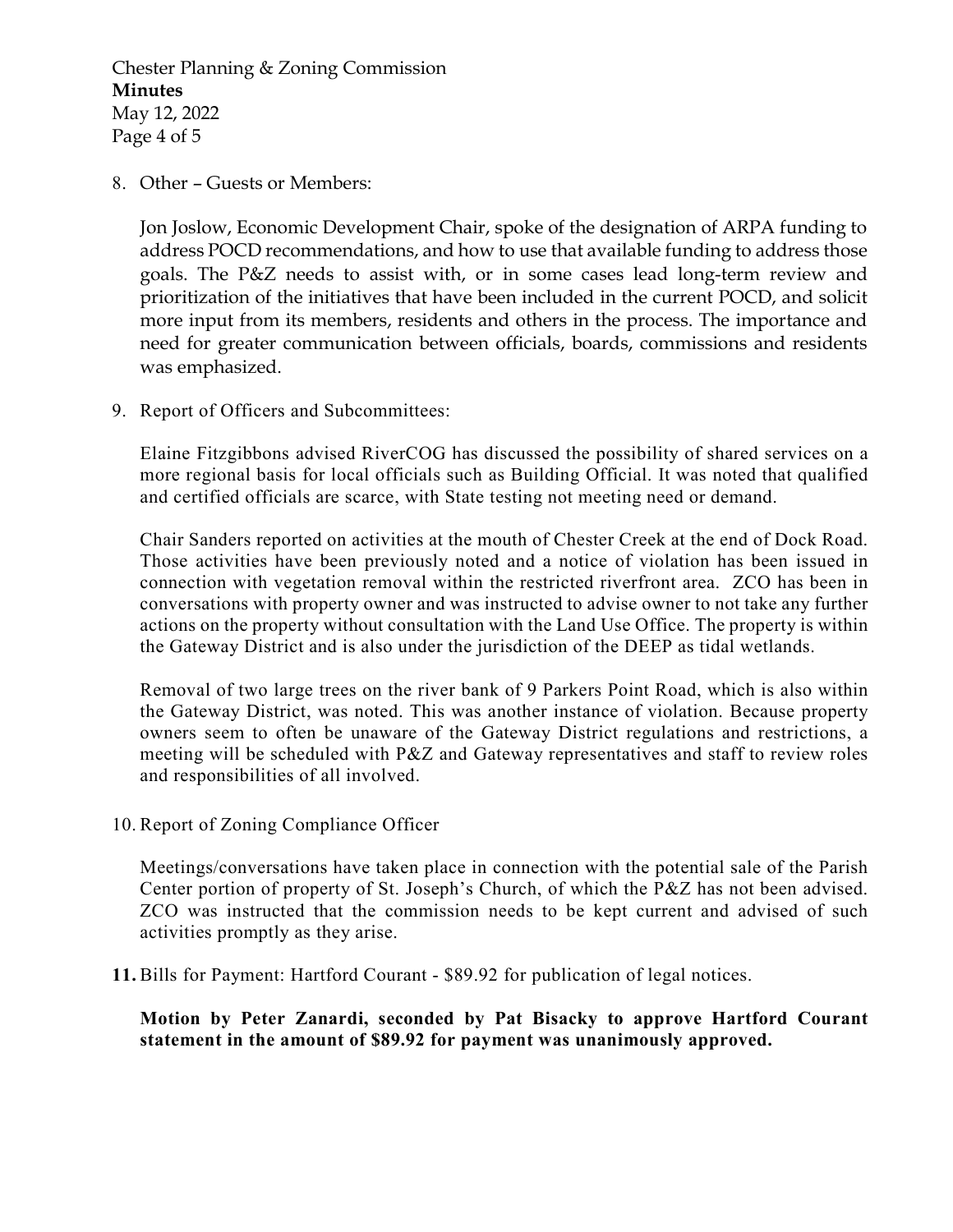Chester Planning & Zoning Commission Minutes May 12, 2022 Page 4 of 5

8. Other – Guests or Members:

Jon Joslow, Economic Development Chair, spoke of the designation of ARPA funding to address POCD recommendations, and how to use that available funding to address those goals. The P&Z needs to assist with, or in some cases lead long-term review and prioritization of the initiatives that have been included in the current POCD, and solicit more input from its members, residents and others in the process. The importance and need for greater communication between officials, boards, commissions and residents was emphasized.

9. Report of Officers and Subcommittees:

Elaine Fitzgibbons advised RiverCOG has discussed the possibility of shared services on a more regional basis for local officials such as Building Official. It was noted that qualified and certified officials are scarce, with State testing not meeting need or demand.

Chair Sanders reported on activities at the mouth of Chester Creek at the end of Dock Road. Those activities have been previously noted and a notice of violation has been issued in connection with vegetation removal within the restricted riverfront area. ZCO has been in conversations with property owner and was instructed to advise owner to not take any further actions on the property without consultation with the Land Use Office. The property is within the Gateway District and is also under the jurisdiction of the DEEP as tidal wetlands.

Removal of two large trees on the river bank of 9 Parkers Point Road, which is also within the Gateway District, was noted. This was another instance of violation. Because property owners seem to often be unaware of the Gateway District regulations and restrictions, a meeting will be scheduled with P&Z and Gateway representatives and staff to review roles and responsibilities of all involved.

10. Report of Zoning Compliance Officer

Meetings/conversations have taken place in connection with the potential sale of the Parish Center portion of property of St. Joseph's Church, of which the P&Z has not been advised. ZCO was instructed that the commission needs to be kept current and advised of such activities promptly as they arise.

11. Bills for Payment: Hartford Courant - \$89.92 for publication of legal notices.

 Motion by Peter Zanardi, seconded by Pat Bisacky to approve Hartford Courant statement in the amount of \$89.92 for payment was unanimously approved.